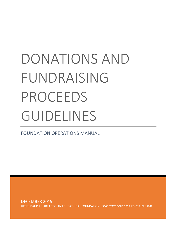# DONATIONS AND FUNDRAISING PROCEEDS GUIDELINES

FOUNDATION OPERATIONS MANUAL

DECEMBER 2019 UPPER DAUPHIN AREA TROJAN EDUCATIONAL FOUNDATION | 5668 STATE ROUTE 209, LYKENS, PA 17048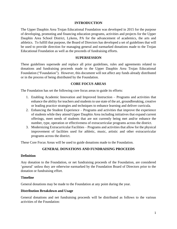### **INTRODUCTION**

The Upper Dauphin Area Trojan Educational Foundation was developed in 2015 for the purpose of developing, promoting and financing education programs, activities and projects for the Upper Dauphin Area School District, Lykens, PA for the advancement of academics, the arts and athletics. To fulfill that purpose, the Board of Directors has developed a set of guidelines that will be used to provide direction for managing general and earmarked donations made to the Trojan Educational Foundation as well as the proceeds of fundraising efforts.

#### **SUPERSESSION**

These guidelines supersede and replace all prior guidelines, rules and agreements related to donations and fundraising proceeds made to the Upper Dauphin Area Trojan Educational Foundation ("Foundation"). However, this document will not affect any funds already distributed or in the process of being distributed by the Foundation.

#### **CORE FOCUS AREAS**

The Foundation has set the following core focus areas to guide its efforts:

- 1. Enabling Academic Innovation and Improved Instruction Programs and activities that enhance the ability for teachers and students to use state of the art, groundbreaking, creative or leading practice strategies and techniques to enhance learning and deliver curricula.
- 2. Enhancing the Student Experience Programs and activities that improve the experience of students while they attend Upper Dauphin Area including initiatives that expand current offerings, meet needs of students that are not currently being met and/or enhance the number, type, operation or effectiveness of extracurricular programs across the district.
- 3. Modernizing Extracurricular Facilities Programs and activities that allow for the physical improvement of facilities used for athletic, music, artistic and other extracurricular programs across the district.

These Core Focus Areas will be used to guide donations made to the Foundation.

## **GENERAL DONATIONS AND FUNDRAISING PROCEEDS**

#### **Definition**

Any donation to the Foundation, or net fundraising proceeds of the Foundation, are considered 'general' unless they are otherwise earmarked by the Foundation Board of Directors prior to the donation or fundraising effort.

#### **Timeline**

General donations may be made to the Foundation at any point during the year.

#### **Distribution Breakdown and Usage**

General donations and net fundraising proceeds will be distributed as follows to the various activities of the Foundation: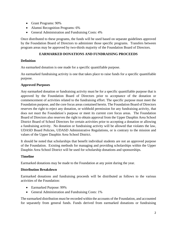- Grant Programs: 90%
- Alumni Recognition Programs: 6%
- General Administration and Fundraising Costs: 4%

Once distributed to these programs, the funds will be used based on separate guidelines approved by the Foundation Board of Directors to administer those specific programs. Transfers between program areas may be approved by two-thirds majority of the Foundation Board of Directors.

## **EARMARKED DONATIONS AND FUNDRAISING PROCEEDS**

# **Definition**

An earmarked donation is one made for a specific quantifiable purpose.

An earmarked fundraising activity is one that takes place to raise funds for a specific quantifiable purpose.

## **Approved Purposes**

Any earmarked donation or fundraising activity must be for a specific quantifiable purpose that is approved by the Foundation Board of Directors prior to acceptance of the donation or commencement of activities related to the fundraising effort. The specific purpose must meet the Foundation purpose, and the core focus areas contained herein. The Foundation Board of Directors reserves the right to reject any donation, or withhold permission for any fundraising activity, that does not meet the Foundation's purpose or meet its current core focus areas. The Foundation Board of Directors also reserves the right to obtain approval from the Upper Dauphin Area School District Board of School Directors for certain activities prior to accepting a donation or allowing a fundraising activity. No donation or fundraising activity will be allowed that violates the law, UDASD Board Policies, UDASD Administrative Regulations, or is contrary to the mission and values of the Upper Dauphin Area School District.

It should be noted that scholarships that benefit individual students are not an approved purpose of the Foundation. Existing methods for managing and providing scholarships within the Upper Dauphin Area School District will be used for scholarship donations and sponsorships.

## **Timeline**

Earmarked donations may be made to the Foundation at any point during the year.

## **Distribution Breakdown**

Earmarked donations and fundraising proceeds will be distributed as follows to the various activities of the Foundation:

- Earmarked Purpose: 99%
- General Administration and Fundraising Costs: 1%

The earmarked distribution must be recorded within the accounts of the Foundation, and accounted for separately from general funds. Funds derived from earmarked donations or fundraising